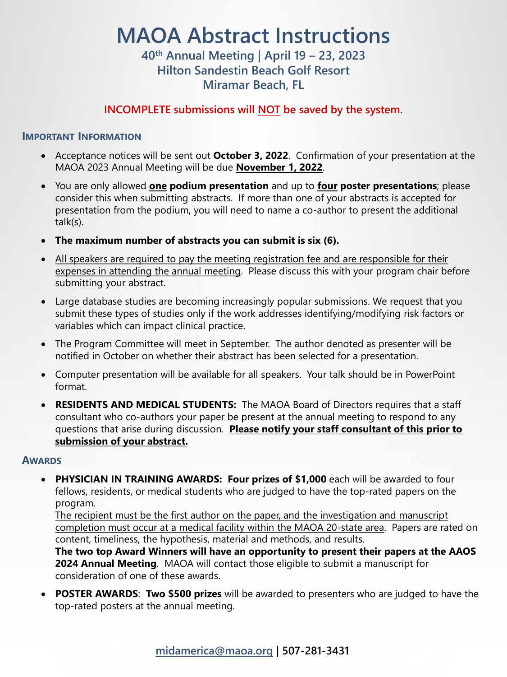# **MAOA Abstract Instructions**

## **40th Annual Meeting | April 19 – 23, 2023 Hilton Sandestin Beach Golf Resort Miramar Beach, FL**

## **INCOMPLETE submissions will NOT be saved by the system.**

### **IMPORTANT INFORMATION**

- Acceptance notices will be sent out **October 3, 2022**. Confirmation of your presentation at the MAOA 2023 Annual Meeting will be due **November 1, 2022**.
- You are only allowed **one podium presentation** and up to **four poster presentations**; please consider this when submitting abstracts. If more than one of your abstracts is accepted for presentation from the podium, you will need to name a co-author to present the additional talk(s).
- **The maximum number of abstracts you can submit is six (6).**
- All speakers are required to pay the meeting registration fee and are responsible for their expenses in attending the annual meeting. Please discuss this with your program chair before submitting your abstract.
- Large database studies are becoming increasingly popular submissions. We request that you submit these types of studies only if the work addresses identifying/modifying risk factors or variables which can impact clinical practice.
- The Program Committee will meet in September. The author denoted as presenter will be notified in October on whether their abstract has been selected for a presentation.
- Computer presentation will be available for all speakers. Your talk should be in PowerPoint format.
- **RESIDENTS AND MEDICAL STUDENTS:** The MAOA Board of Directors requires that a staff consultant who co-authors your paper be present at the annual meeting to respond to any questions that arise during discussion. **Please notify your staff consultant of this prior to submission of your abstract.**

- **PHYSICIAN IN TRAINING AWARDS: Four prizes of \$1,000** each will be awarded to four fellows, residents, or medical students who are judged to have the top-rated papers on the program.
	- The recipient must be the first author on the paper, and the investigation and manuscript completion must occur at a medical facility within the MAOA 20-state area. Papers are rated on content, timeliness, the hypothesis, material and methods, and results. **The two top Award Winners will have an opportunity to present their papers at the AAOS 2024 Annual Meeting**. MAOA will contact those eligible to submit a manuscript for consideration of one of these awards.
- **POSTER AWARDS**: **Two \$500 prizes** will be awarded to presenters who are judged to have the top-rated posters at the annual meeting.

## **AWARDS**